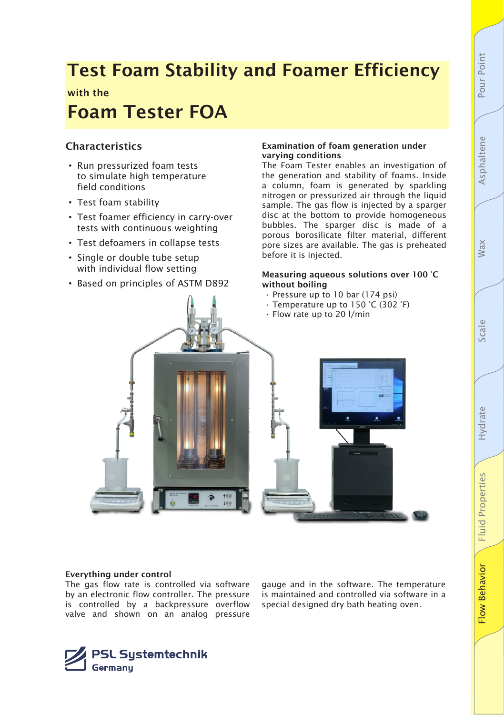# Wax

Fluid

 $\frac{8}{2}$ w

Behavior

# Foam Tester FOA

Test Foam Stability and Foamer Efficiency

## Characteristics

with the

- Run pressurized foam tests to simulate high temperature field conditions
- Test foam stability
- Test foamer efficiency in carry-over tests with continuous weighting
- Test defoamers in collapse tests
- Single or double tube setup with individual flow setting
- Based on principles of ASTM D892

#### Examination of foam generation under varying conditions

The Foam Tester enables an investigation of the generation and stability of foams. Inside a column, foam is generated by sparkling nitrogen or pressurized air through the liquid sample. The gas flow is injected by a sparger disc at the bottom to provide homogeneous bubbles. The sparger disc is made of a porous borosilicate filter material, different pore sizes are available. The gas is preheated before it is injected.

#### Measuring aqueous solutions over 100 °C without boiling

- Pressure up to 10 bar (174 psi)
- Temperature up to 150 °C (302 °F)
- Flow rate up to 20 l/min



#### Everything under control

The gas flow rate is controlled via software by an electronic flow controller. The pressure is controlled by a backpressure overflow valve and shown on an analog pressure

gauge and in the software. The temperature is maintained and controlled via software in a special designed dry bath heating oven.